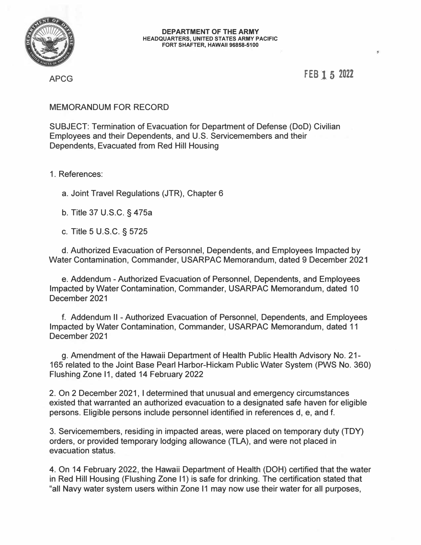

**FEB l 5 2021** 

 $\mathbf{g}$ 

APCG

## MEMORANDUM FOR RECORD

SUBJECT: Termination of Evacuation for Department of Defense (DoD) Civilian Employees and their Dependents, and U.S. Servicemembers and their Dependents, Evacuated from Red Hill Housing

1 . References:

a. Joint Travel Regulations (JTR), Chapter 6

b. Title 37 U.S.C. § 475a

c. Title 5 U.S.C. § 5725

d. Authorized Evacuation of Personnel, Dependents, and Employees Impacted by Water Contamination, Commander, USARPAC Memorandum, dated 9 December 2021

e. Addendum -Authorized Evacuation of Personnel, Dependents, and Employees Impacted by Water Contamination, Commander, USARPAC Memorandum, dated 10 December 2021

f. Addendum II -Authorized Evacuation of Personnel, Dependents, and Employees Impacted by Water Contamination, Commander, USARPAC Memorandum, dated 11 December 2021

g. Amendment of the Hawaii Department of Health Public Health Advisory No. 21- 165 related to the Joint Base Pearl Harbor-Hickam Public Water System (PWS No. 360) Flushing Zone 11, dated 14 February 2022

2. On 2 December 2021, I determined that unusual and emergency circumstances existed that warranted an authorized evacuation to a designated safe haven for eligible persons. Eligible persons include personnel identified in references d, e, and f.

3. Servicemembers, residing in impacted areas, were placed on temporary duty (TOY) orders, or provided temporary lodging allowance (TLA), and were not placed in evacuation status.

4. On 14 February 2022, the Hawaii Department of Health (DOH) certified that the water in Red Hill Housing (Flushing Zone 11) is safe for drinking. The certification stated that "all Navy water system users within Zone 11 may now use their water for all purposes,